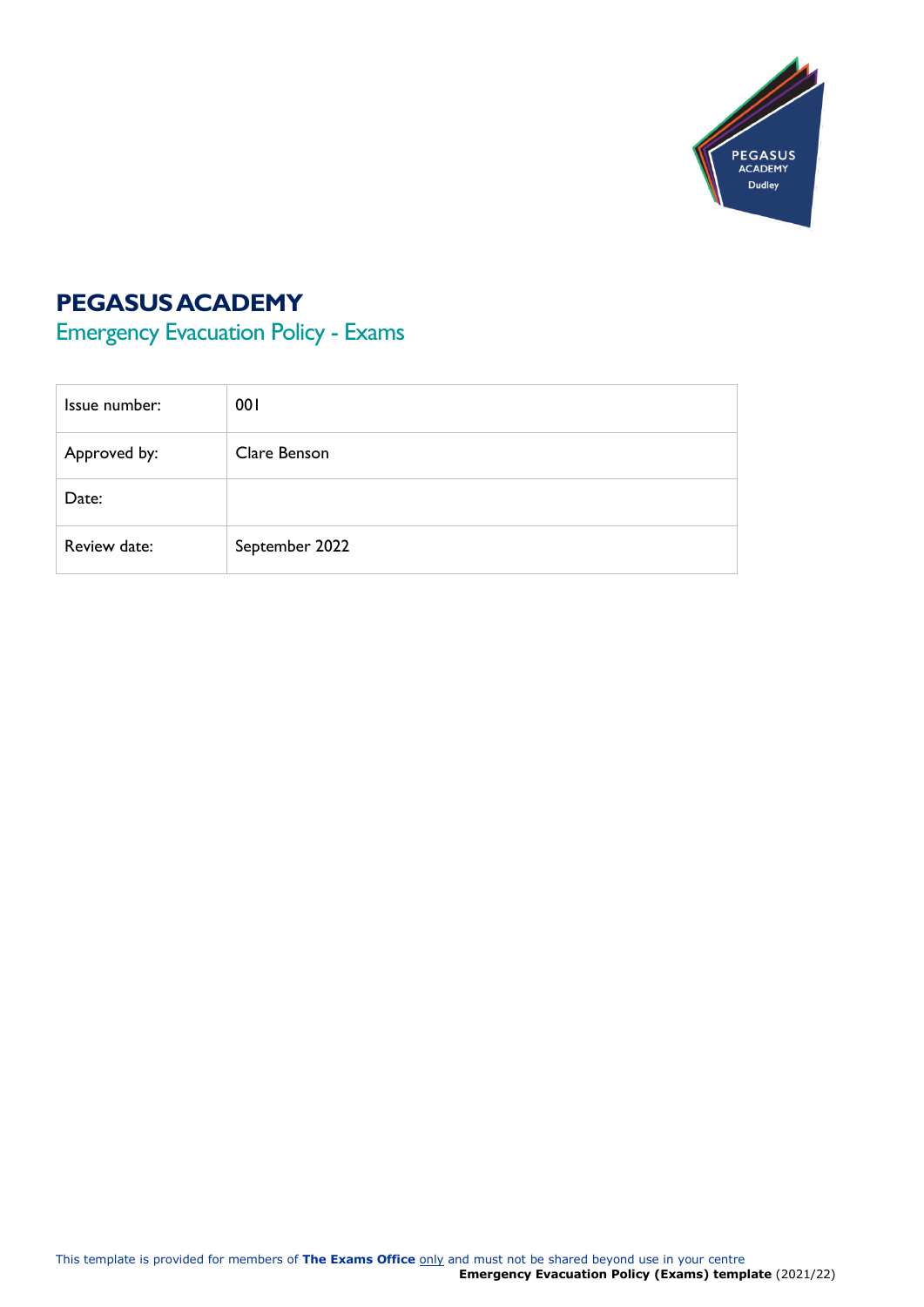

# **PEGASUS ACADEMY**

Emergency Evacuation Policy - Exams

| Issue number: | 001            |
|---------------|----------------|
| Approved by:  | Clare Benson   |
| Date:         |                |
| Review date:  | September 2022 |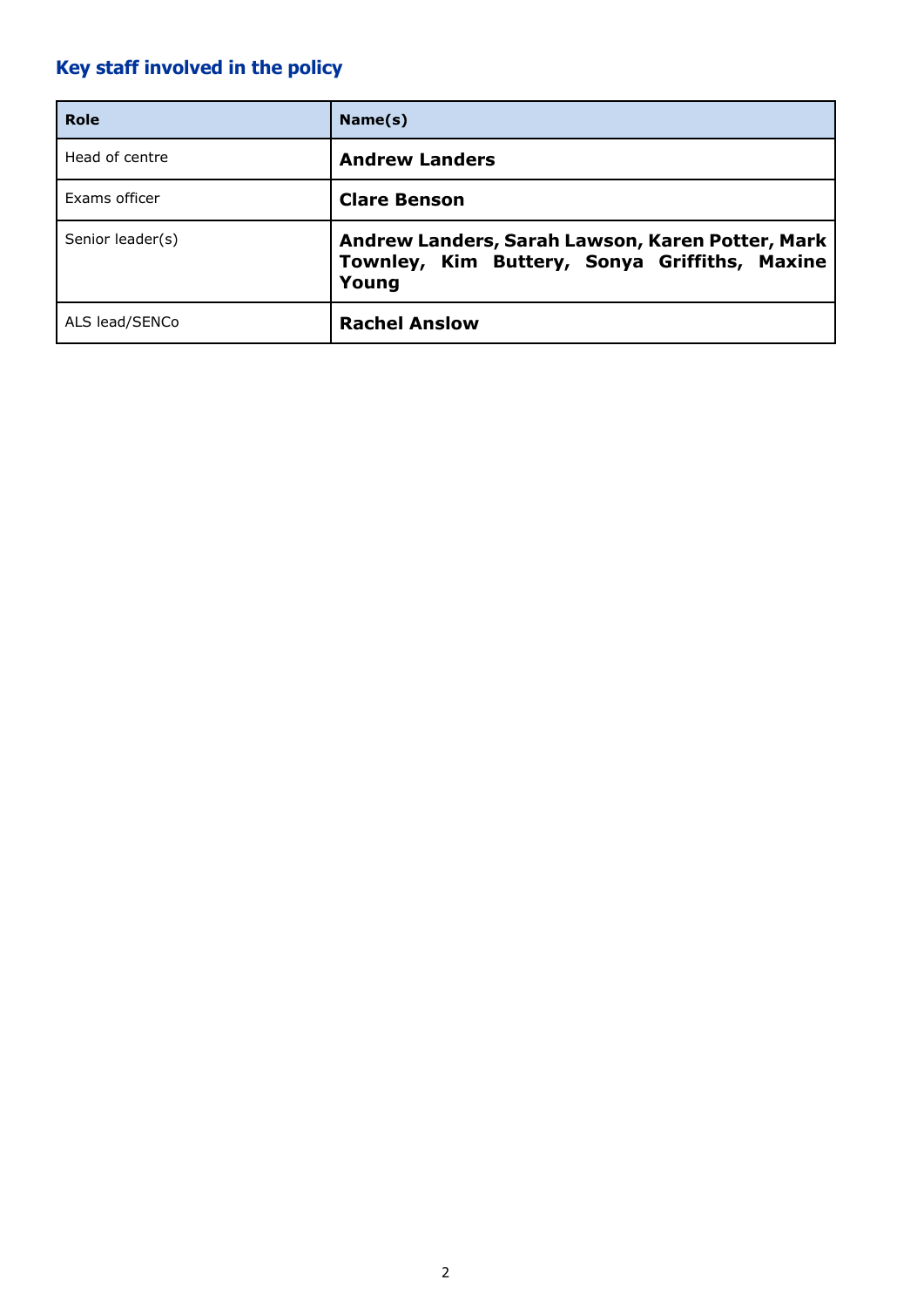# **Key staff involved in the policy**

| Role             | Name(s)                                                                                                    |
|------------------|------------------------------------------------------------------------------------------------------------|
| Head of centre   | <b>Andrew Landers</b>                                                                                      |
| Exams officer    | <b>Clare Benson</b>                                                                                        |
| Senior leader(s) | Andrew Landers, Sarah Lawson, Karen Potter, Mark<br>Townley, Kim Buttery, Sonya Griffiths, Maxine<br>Young |
| ALS lead/SENCo   | <b>Rachel Anslow</b>                                                                                       |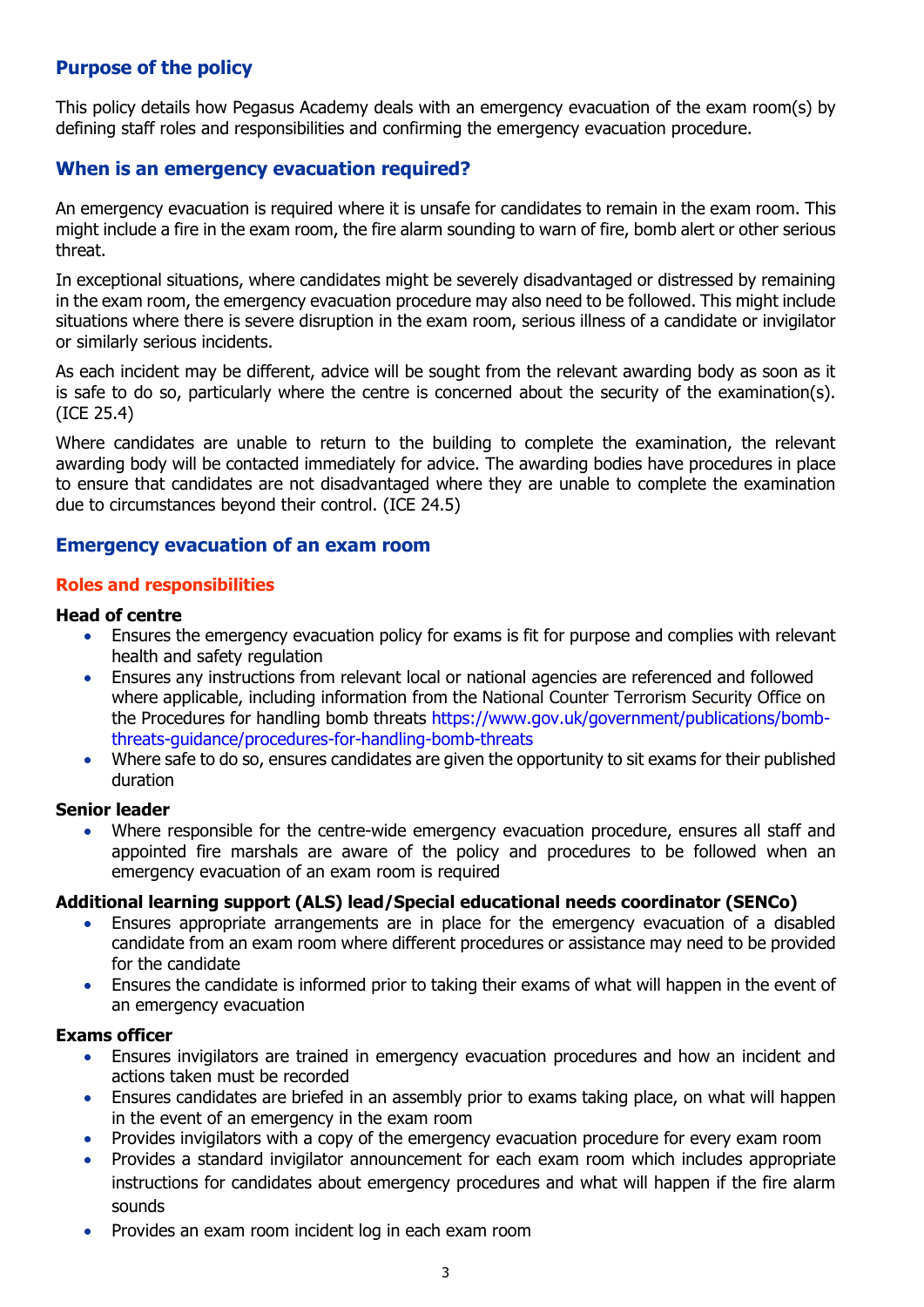# **Purpose of the policy**

This policy details how Pegasus Academy deals with an emergency evacuation of the exam room(s) by defining staff roles and responsibilities and confirming the emergency evacuation procedure.

## **When is an emergency evacuation required?**

An emergency evacuation is required where it is unsafe for candidates to remain in the exam room. This might include a fire in the exam room, the fire alarm sounding to warn of fire, bomb alert or other serious threat.

In exceptional situations, where candidates might be severely disadvantaged or distressed by remaining in the exam room, the emergency evacuation procedure may also need to be followed. This might include situations where there is severe disruption in the exam room, serious illness of a candidate or invigilator or similarly serious incidents.

As each incident may be different, advice will be sought from the relevant awarding body as soon as it is safe to do so, particularly where the centre is concerned about the security of the examination(s). (ICE 25.4)

Where candidates are unable to return to the building to complete the examination, the relevant awarding body will be contacted immediately for advice. The awarding bodies have procedures in place to ensure that candidates are not disadvantaged where they are unable to complete the examination due to circumstances beyond their control. (ICE 24.5)

### **Emergency evacuation of an exam room**

#### **Roles and responsibilities**

#### **Head of centre**

- Ensures the emergency evacuation policy for exams is fit for purpose and complies with relevant health and safety regulation
- Ensures any instructions from relevant local or national agencies are referenced and followed where applicable, including information from the National Counter Terrorism Security Office on the Procedures for handling bomb threats [https://www.gov.uk/government/publications/bomb](https://www.gov.uk/government/publications/bomb-threats-guidance/procedures-for-handling-bomb-threats)[threats-guidance/procedures-for-handling-bomb-threats](https://www.gov.uk/government/publications/bomb-threats-guidance/procedures-for-handling-bomb-threats)
- Where safe to do so, ensures candidates are given the opportunity to sit exams for their published duration

#### **Senior leader**

• Where responsible for the centre-wide emergency evacuation procedure, ensures all staff and appointed fire marshals are aware of the policy and procedures to be followed when an emergency evacuation of an exam room is required

#### **Additional learning support (ALS) lead/Special educational needs coordinator (SENCo)**

- Ensures appropriate arrangements are in place for the emergency evacuation of a disabled candidate from an exam room where different procedures or assistance may need to be provided for the candidate
- Ensures the candidate is informed prior to taking their exams of what will happen in the event of an emergency evacuation

#### **Exams officer**

- Ensures invigilators are trained in emergency evacuation procedures and how an incident and actions taken must be recorded
- Ensures candidates are briefed in an assembly prior to exams taking place, on what will happen in the event of an emergency in the exam room
- Provides invigilators with a copy of the emergency evacuation procedure for every exam room
- Provides a standard invigilator announcement for each exam room which includes appropriate instructions for candidates about emergency procedures and what will happen if the fire alarm sounds
- Provides an exam room incident log in each exam room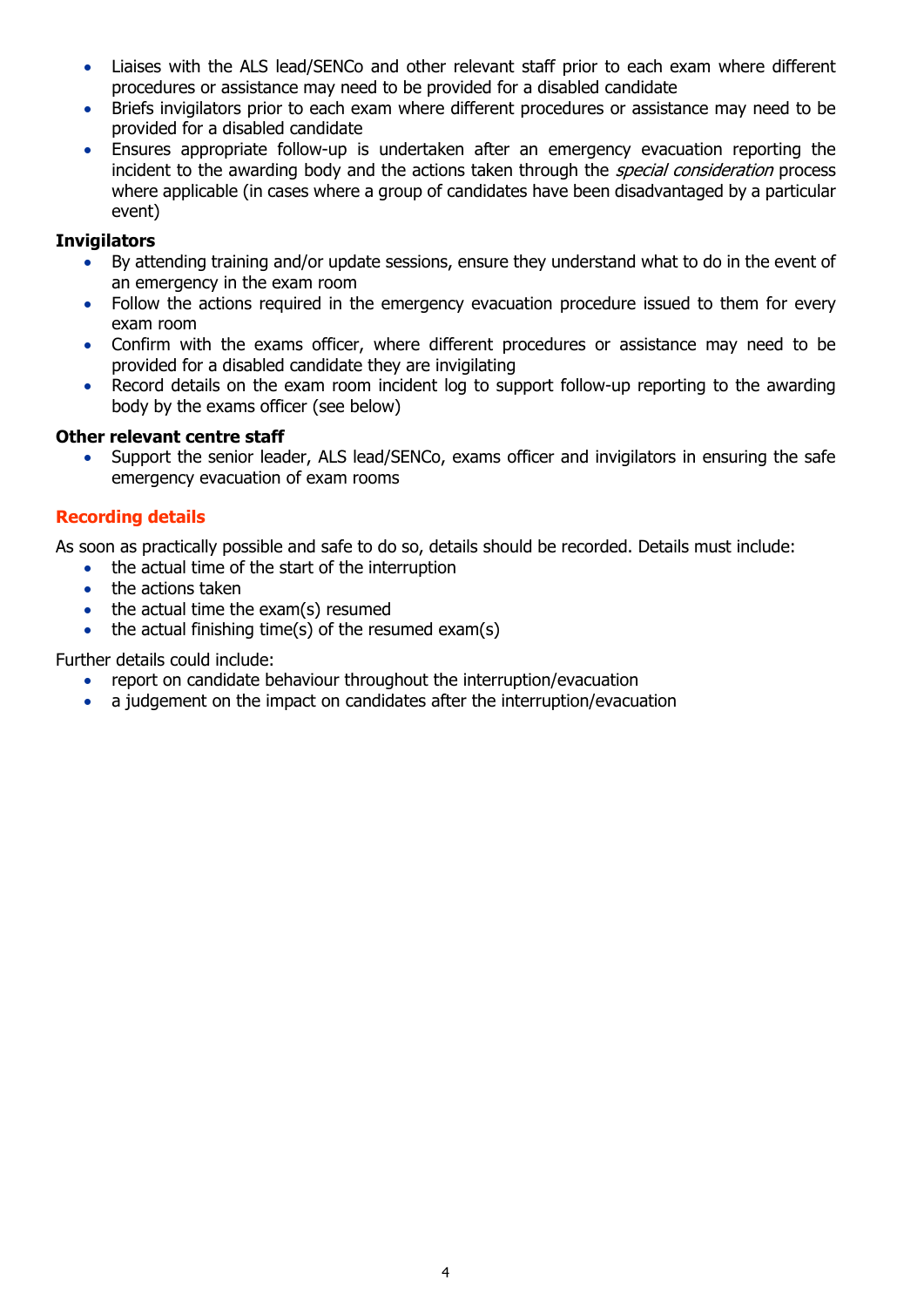- Liaises with the ALS lead/SENCo and other relevant staff prior to each exam where different procedures or assistance may need to be provided for a disabled candidate
- Briefs invigilators prior to each exam where different procedures or assistance may need to be provided for a disabled candidate
- Ensures appropriate follow-up is undertaken after an emergency evacuation reporting the incident to the awarding body and the actions taken through the *special consideration* process where applicable (in cases where a group of candidates have been disadvantaged by a particular event)

## **Invigilators**

- By attending training and/or update sessions, ensure they understand what to do in the event of an emergency in the exam room
- Follow the actions required in the emergency evacuation procedure issued to them for every exam room
- Confirm with the exams officer, where different procedures or assistance may need to be provided for a disabled candidate they are invigilating
- Record details on the exam room incident log to support follow-up reporting to the awarding body by the exams officer (see below)

### **Other relevant centre staff**

• Support the senior leader, ALS lead/SENCo, exams officer and invigilators in ensuring the safe emergency evacuation of exam rooms

# **Recording details**

As soon as practically possible and safe to do so, details should be recorded. Details must include:

- the actual time of the start of the interruption
	- the actions taken
- the actual time the exam(s) resumed
- the actual finishing time(s) of the resumed exam(s)

Further details could include:

- report on candidate behaviour throughout the interruption/evacuation
- a judgement on the impact on candidates after the interruption/evacuation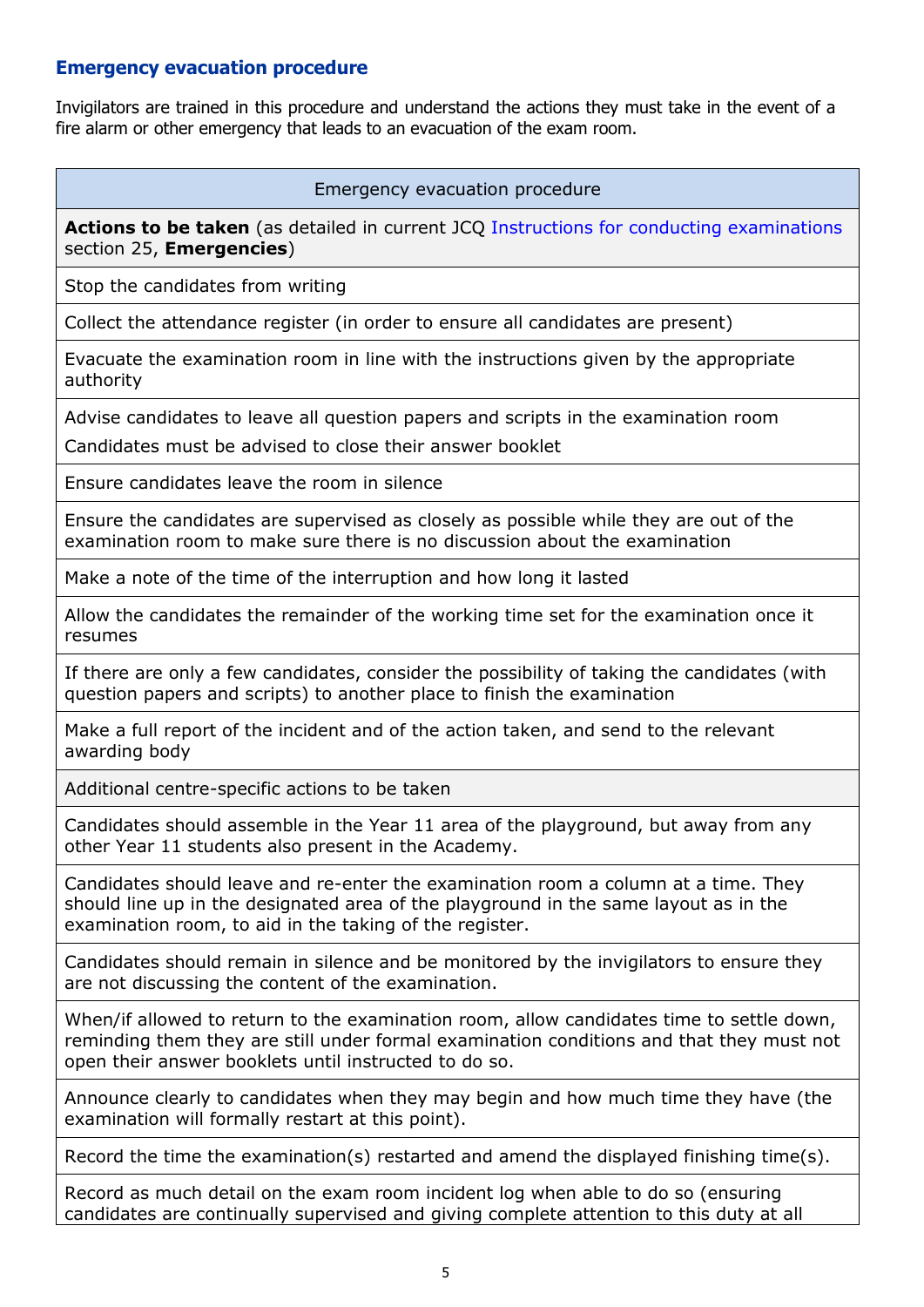# **Emergency evacuation procedure**

Invigilators are trained in this procedure and understand the actions they must take in the event of a fire alarm or other emergency that leads to an evacuation of the exam room.

Emergency evacuation procedure

Actions to be taken (as detailed in current JCQ [Instructions for conducting examinations](http://www.jcq.org.uk/exams-office/ice---instructions-for-conducting-examinations) section 25, **Emergencies**)

Stop the candidates from writing

Collect the attendance register (in order to ensure all candidates are present)

Evacuate the examination room in line with the instructions given by the appropriate authority

Advise candidates to leave all question papers and scripts in the examination room

Candidates must be advised to close their answer booklet

Ensure candidates leave the room in silence

Ensure the candidates are supervised as closely as possible while they are out of the examination room to make sure there is no discussion about the examination

Make a note of the time of the interruption and how long it lasted

Allow the candidates the remainder of the working time set for the examination once it resumes

If there are only a few candidates, consider the possibility of taking the candidates (with question papers and scripts) to another place to finish the examination

Make a full report of the incident and of the action taken, and send to the relevant awarding body

Additional centre-specific actions to be taken

Candidates should assemble in the Year 11 area of the playground, but away from any other Year 11 students also present in the Academy.

Candidates should leave and re-enter the examination room a column at a time. They should line up in the designated area of the playground in the same layout as in the examination room, to aid in the taking of the register.

Candidates should remain in silence and be monitored by the invigilators to ensure they are not discussing the content of the examination.

When/if allowed to return to the examination room, allow candidates time to settle down, reminding them they are still under formal examination conditions and that they must not open their answer booklets until instructed to do so.

Announce clearly to candidates when they may begin and how much time they have (the examination will formally restart at this point).

Record the time the examination(s) restarted and amend the displayed finishing time(s).

Record as much detail on the exam room incident log when able to do so (ensuring candidates are continually supervised and giving complete attention to this duty at all